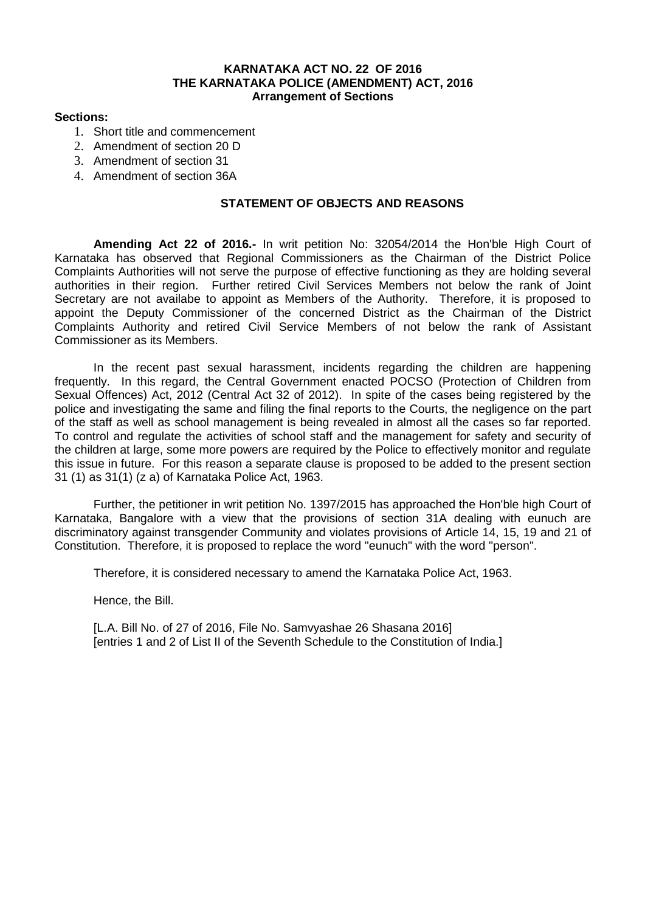# **KARNATAKA ACT NO. 22 OF 2016 THE KARNATAKA POLICE (AMENDMENT) ACT, 2016 Arrangement of Sections**

## **Sections:**

- 1. Short title and commencement
- 2. Amendment of section 20 D
- 3. Amendment of section 31
- 4. Amendment of section 36A

# **STATEMENT OF OBJECTS AND REASONS**

**Amending Act 22 of 2016.-** In writ petition No: 32054/2014 the Hon'ble High Court of Karnataka has observed that Regional Commissioners as the Chairman of the District Police Complaints Authorities will not serve the purpose of effective functioning as they are holding several authorities in their region. Further retired Civil Services Members not below the rank of Joint Secretary are not availabe to appoint as Members of the Authority. Therefore, it is proposed to appoint the Deputy Commissioner of the concerned District as the Chairman of the District Complaints Authority and retired Civil Service Members of not below the rank of Assistant Commissioner as its Members.

In the recent past sexual harassment, incidents regarding the children are happening frequently. In this regard, the Central Government enacted POCSO (Protection of Children from Sexual Offences) Act, 2012 (Central Act 32 of 2012). In spite of the cases being registered by the police and investigating the same and filing the final reports to the Courts, the negligence on the part of the staff as well as school management is being revealed in almost all the cases so far reported. To control and regulate the activities of school staff and the management for safety and security of the children at large, some more powers are required by the Police to effectively monitor and regulate this issue in future. For this reason a separate clause is proposed to be added to the present section 31 (1) as 31(1) (z a) of Karnataka Police Act, 1963.

Further, the petitioner in writ petition No. 1397/2015 has approached the Hon'ble high Court of Karnataka, Bangalore with a view that the provisions of section 31A dealing with eunuch are discriminatory against transgender Community and violates provisions of Article 14, 15, 19 and 21 of Constitution. Therefore, it is proposed to replace the word "eunuch" with the word "person".

Therefore, it is considered necessary to amend the Karnataka Police Act, 1963.

Hence, the Bill.

[L.A. Bill No. of 27 of 2016, File No. Samvyashae 26 Shasana 2016] [entries 1 and 2 of List II of the Seventh Schedule to the Constitution of India.]